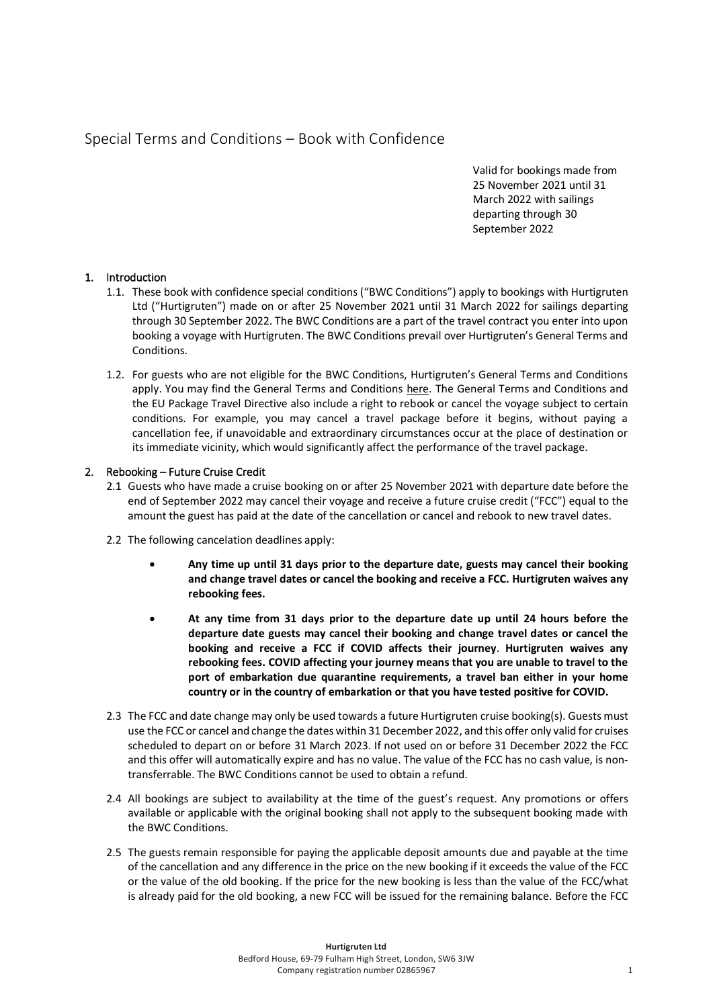## Special Terms and Conditions – Book with Confidence

Valid for bookings made from 25 November 2021 until 31 March 2022 with sailings departing through 30 September 2022

## 1. Introduction

- 1.1. These book with confidence special conditions ("BWC Conditions") apply to bookings with Hurtigruten Ltd ("Hurtigruten") made on or after 25 November 2021 until 31 March 2022 for sailings departing through 30 September 2022. The BWC Conditions are a part of the travel contract you enter into upon booking a voyage with Hurtigruten. The BWC Conditions prevail over Hurtigruten's General Terms and Conditions.
- 1.2. For guests who are not eligible for the BWC Conditions, Hurtigruten's General Terms and Conditions apply. You may find the General Terms and Conditions [here.](https://www.hurtigruten.co.uk/practical-information/terms-and-conditions/?_hrgb=3) The General Terms and Conditions and the EU Package Travel Directive also include a right to rebook or cancel the voyage subject to certain conditions. For example, you may cancel a travel package before it begins, without paying a cancellation fee, if unavoidable and extraordinary circumstances occur at the place of destination or its immediate vicinity, which would significantly affect the performance of the travel package.

## 2. Rebooking – Future Cruise Credit

- 2.1 Guests who have made a cruise booking on or after 25 November 2021 with departure date before the end of September 2022 may cancel their voyage and receive a future cruise credit ("FCC") equal to the amount the guest has paid at the date of the cancellation or cancel and rebook to new travel dates.
- 2.2 The following cancelation deadlines apply:
	- **Any time up until 31 days prior to the departure date, guests may cancel their booking and change travel dates or cancel the booking and receive a FCC. Hurtigruten waives any rebooking fees.**
	- **At any time from 31 days prior to the departure date up until 24 hours before the departure date guests may cancel their booking and change travel dates or cancel the booking and receive a FCC if COVID affects their journey**. **Hurtigruten waives any rebooking fees. COVID affecting your journey means that you are unable to travel to the port of embarkation due quarantine requirements, a travel ban either in your home country or in the country of embarkation or that you have tested positive for COVID.**
- 2.3 The FCC and date change may only be used towards a future Hurtigruten cruise booking(s). Guests must use the FCC or cancel and change the dates within 31 December 2022, and this offer only valid for cruises scheduled to depart on or before 31 March 2023. If not used on or before 31 December 2022 the FCC and this offer will automatically expire and has no value. The value of the FCC has no cash value, is nontransferrable. The BWC Conditions cannot be used to obtain a refund.
- 2.4 All bookings are subject to availability at the time of the guest's request. Any promotions or offers available or applicable with the original booking shall not apply to the subsequent booking made with the BWC Conditions.
- 2.5 The guests remain responsible for paying the applicable deposit amounts due and payable at the time of the cancellation and any difference in the price on the new booking if it exceeds the value of the FCC or the value of the old booking. If the price for the new booking is less than the value of the FCC/what is already paid for the old booking, a new FCC will be issued for the remaining balance. Before the FCC